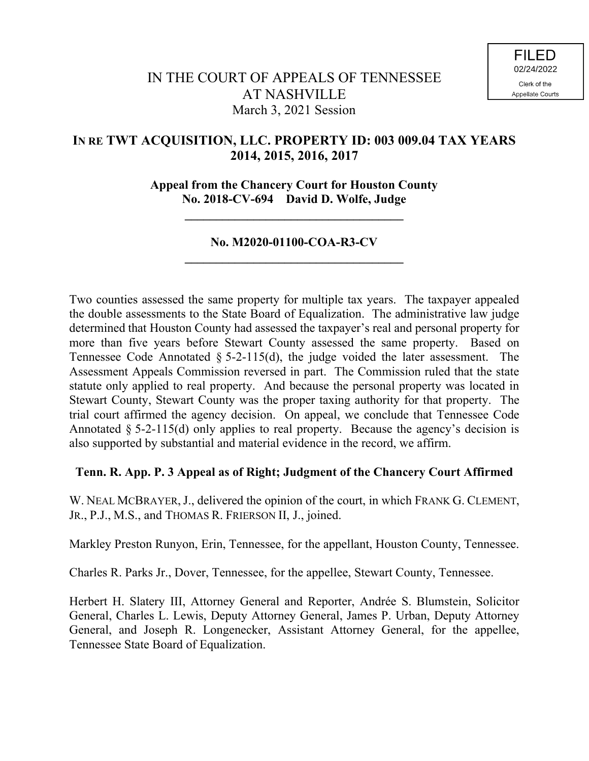# **IN RE TWT ACQUISITION, LLC. PROPERTY ID: 003 009.04 TAX YEARS 2014, 2015, 2016, 2017**

**Appeal from the Chancery Court for Houston County No. 2018-CV-694 David D. Wolfe, Judge**

**\_\_\_\_\_\_\_\_\_\_\_\_\_\_\_\_\_\_\_\_\_\_\_\_\_\_\_\_\_\_\_\_\_\_\_**

# **No. M2020-01100-COA-R3-CV \_\_\_\_\_\_\_\_\_\_\_\_\_\_\_\_\_\_\_\_\_\_\_\_\_\_\_\_\_\_\_\_\_\_\_**

Two counties assessed the same property for multiple tax years. The taxpayer appealed the double assessments to the State Board of Equalization. The administrative law judge determined that Houston County had assessed the taxpayer's real and personal property for more than five years before Stewart County assessed the same property. Based on Tennessee Code Annotated § 5-2-115(d), the judge voided the later assessment. The Assessment Appeals Commission reversed in part. The Commission ruled that the state statute only applied to real property. And because the personal property was located in Stewart County, Stewart County was the proper taxing authority for that property. The trial court affirmed the agency decision. On appeal, we conclude that Tennessee Code Annotated  $\S$  5-2-115(d) only applies to real property. Because the agency's decision is also supported by substantial and material evidence in the record, we affirm.

# **Tenn. R. App. P. 3 Appeal as of Right; Judgment of the Chancery Court Affirmed**

W. NEAL MCBRAYER, J., delivered the opinion of the court, in which FRANK G. CLEMENT, JR., P.J., M.S., and THOMAS R. FRIERSON II, J., joined.

Markley Preston Runyon, Erin, Tennessee, for the appellant, Houston County, Tennessee.

Charles R. Parks Jr., Dover, Tennessee, for the appellee, Stewart County, Tennessee.

Herbert H. Slatery III, Attorney General and Reporter, Andrée S. Blumstein, Solicitor General, Charles L. Lewis, Deputy Attorney General, James P. Urban, Deputy Attorney General, and Joseph R. Longenecker, Assistant Attorney General, for the appellee, Tennessee State Board of Equalization.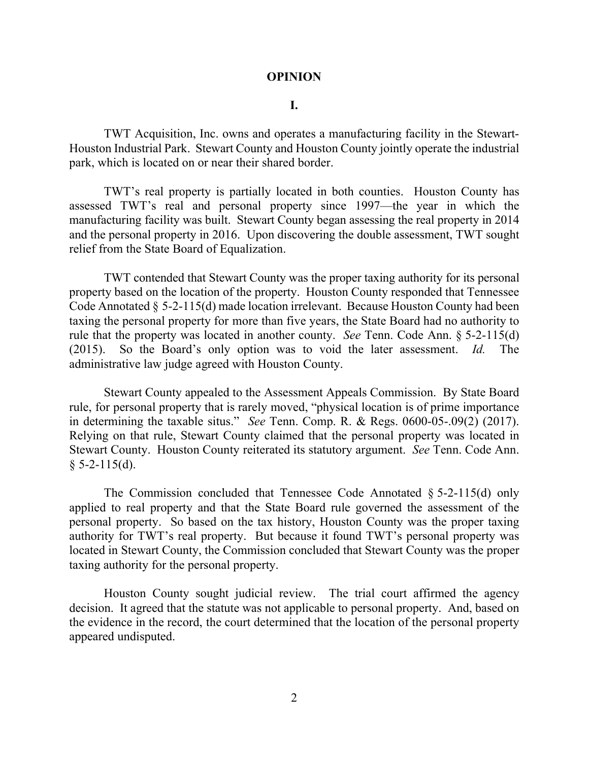#### **OPINION**

### **I.**

TWT Acquisition, Inc. owns and operates a manufacturing facility in the Stewart-Houston Industrial Park. Stewart County and Houston County jointly operate the industrial park, which is located on or near their shared border.

TWT's real property is partially located in both counties. Houston County has assessed TWT's real and personal property since 1997—the year in which the manufacturing facility was built. Stewart County began assessing the real property in 2014 and the personal property in 2016. Upon discovering the double assessment, TWT sought relief from the State Board of Equalization.

TWT contended that Stewart County was the proper taxing authority for its personal property based on the location of the property. Houston County responded that Tennessee Code Annotated § 5-2-115(d) made location irrelevant. Because Houston County had been taxing the personal property for more than five years, the State Board had no authority to rule that the property was located in another county. *See* Tenn. Code Ann. § 5-2-115(d) (2015). So the Board's only option was to void the later assessment. *Id.* The administrative law judge agreed with Houston County.

Stewart County appealed to the Assessment Appeals Commission. By State Board rule, for personal property that is rarely moved, "physical location is of prime importance in determining the taxable situs." *See* Tenn. Comp. R. & Regs. 0600-05-.09(2) (2017). Relying on that rule, Stewart County claimed that the personal property was located in Stewart County. Houston County reiterated its statutory argument. *See* Tenn. Code Ann.  $§ 5-2-115(d).$ 

The Commission concluded that Tennessee Code Annotated § 5-2-115(d) only applied to real property and that the State Board rule governed the assessment of the personal property. So based on the tax history, Houston County was the proper taxing authority for TWT's real property. But because it found TWT's personal property was located in Stewart County, the Commission concluded that Stewart County was the proper taxing authority for the personal property.

Houston County sought judicial review. The trial court affirmed the agency decision. It agreed that the statute was not applicable to personal property. And, based on the evidence in the record, the court determined that the location of the personal property appeared undisputed.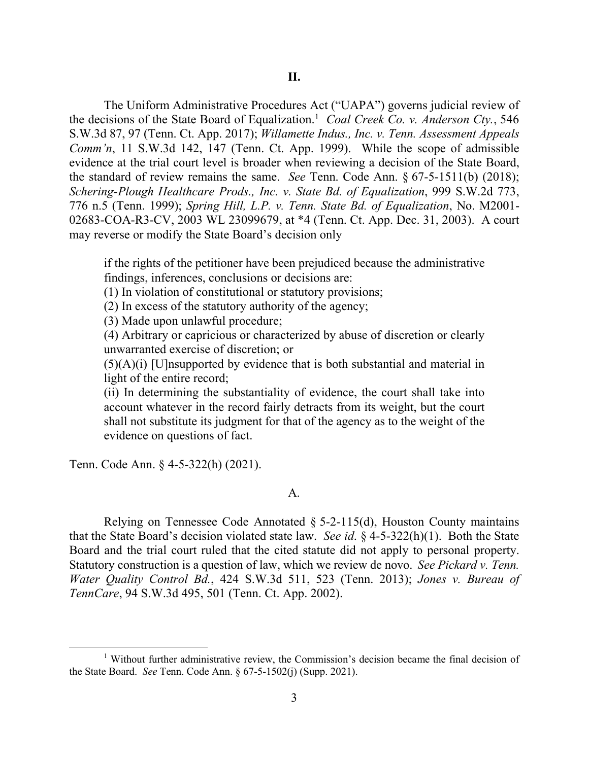The Uniform Administrative Procedures Act ("UAPA") governs judicial review of the decisions of the State Board of Equalization.<sup>1</sup> Coal Creek Co. v. Anderson Cty., 546 S.W.3d 87, 97 (Tenn. Ct. App. 2017); *Willamette Indus., Inc. v. Tenn. Assessment Appeals Comm'n*, 11 S.W.3d 142, 147 (Tenn. Ct. App. 1999). While the scope of admissible evidence at the trial court level is broader when reviewing a decision of the State Board, the standard of review remains the same. *See* Tenn. Code Ann. § 67-5-1511(b) (2018); *Schering-Plough Healthcare Prods., Inc. v. State Bd. of Equalization*, 999 S.W.2d 773, 776 n.5 (Tenn. 1999); *Spring Hill, L.P. v. Tenn. State Bd. of Equalization*, No. M2001- 02683-COA-R3-CV, 2003 WL 23099679, at \*4 (Tenn. Ct. App. Dec. 31, 2003). A court may reverse or modify the State Board's decision only

if the rights of the petitioner have been prejudiced because the administrative findings, inferences, conclusions or decisions are:

(1) In violation of constitutional or statutory provisions;

(2) In excess of the statutory authority of the agency;

(3) Made upon unlawful procedure;

(4) Arbitrary or capricious or characterized by abuse of discretion or clearly unwarranted exercise of discretion; or

 $(5)(A)(i)$  [U]nsupported by evidence that is both substantial and material in light of the entire record;

(ii) In determining the substantiality of evidence, the court shall take into account whatever in the record fairly detracts from its weight, but the court shall not substitute its judgment for that of the agency as to the weight of the evidence on questions of fact.

Tenn. Code Ann. § 4-5-322(h) (2021).

 $\overline{a}$ 

## A.

Relying on Tennessee Code Annotated  $\S$  5-2-115(d), Houston County maintains that the State Board's decision violated state law. *See id*. § 4-5-322(h)(1). Both the State Board and the trial court ruled that the cited statute did not apply to personal property. Statutory construction is a question of law, which we review de novo. *See Pickard v. Tenn. Water Quality Control Bd.*, 424 S.W.3d 511, 523 (Tenn. 2013); *Jones v. Bureau of TennCare*, 94 S.W.3d 495, 501 (Tenn. Ct. App. 2002).

<sup>&</sup>lt;sup>1</sup> Without further administrative review, the Commission's decision became the final decision of the State Board. *See* Tenn. Code Ann. § 67-5-1502(j) (Supp. 2021).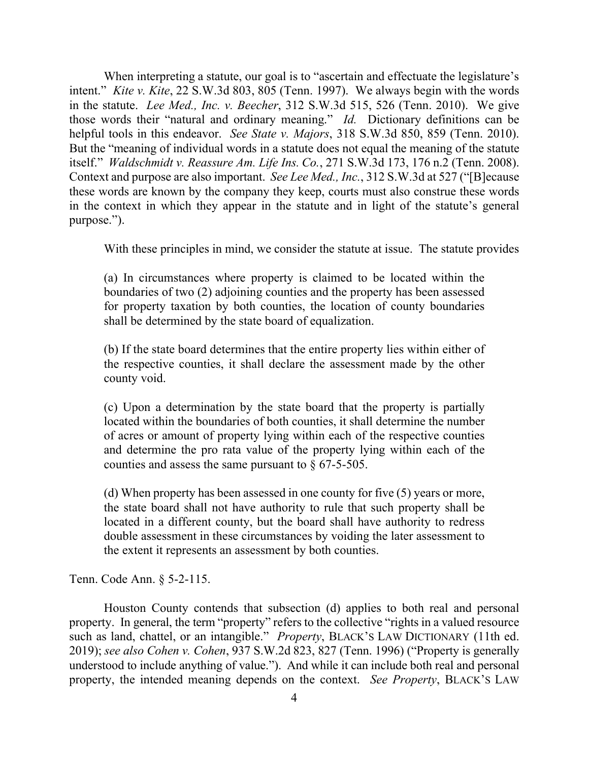When interpreting a statute, our goal is to "ascertain and effectuate the legislature's intent." *Kite v. Kite*, 22 S.W.3d 803, 805 (Tenn. 1997). We always begin with the words in the statute. *Lee Med., Inc. v. Beecher*, 312 S.W.3d 515, 526 (Tenn. 2010). We give those words their "natural and ordinary meaning." *Id.* Dictionary definitions can be helpful tools in this endeavor. *See State v. Majors*, 318 S.W.3d 850, 859 (Tenn. 2010). But the "meaning of individual words in a statute does not equal the meaning of the statute itself." *Waldschmidt v. Reassure Am. Life Ins. Co.*, 271 S.W.3d 173, 176 n.2 (Tenn. 2008). Context and purpose are also important. *See Lee Med., Inc.*, 312 S.W.3d at 527 ("[B]ecause these words are known by the company they keep, courts must also construe these words in the context in which they appear in the statute and in light of the statute's general purpose.").

With these principles in mind, we consider the statute at issue. The statute provides

(a) In circumstances where property is claimed to be located within the boundaries of two (2) adjoining counties and the property has been assessed for property taxation by both counties, the location of county boundaries shall be determined by the state board of equalization.

(b) If the state board determines that the entire property lies within either of the respective counties, it shall declare the assessment made by the other county void.

(c) Upon a determination by the state board that the property is partially located within the boundaries of both counties, it shall determine the number of acres or amount of property lying within each of the respective counties and determine the pro rata value of the property lying within each of the counties and assess the same pursuant to  $\S$  67-5-505.

(d) When property has been assessed in one county for five (5) years or more, the state board shall not have authority to rule that such property shall be located in a different county, but the board shall have authority to redress double assessment in these circumstances by voiding the later assessment to the extent it represents an assessment by both counties.

Tenn. Code Ann. § 5-2-115.

Houston County contends that subsection (d) applies to both real and personal property. In general, the term "property" refers to the collective "rights in a valued resource such as land, chattel, or an intangible." *Property*, BLACK'S LAW DICTIONARY (11th ed. 2019); *see also Cohen v. Cohen*, 937 S.W.2d 823, 827 (Tenn. 1996) ("Property is generally understood to include anything of value."). And while it can include both real and personal property, the intended meaning depends on the context. *See Property*, BLACK'S LAW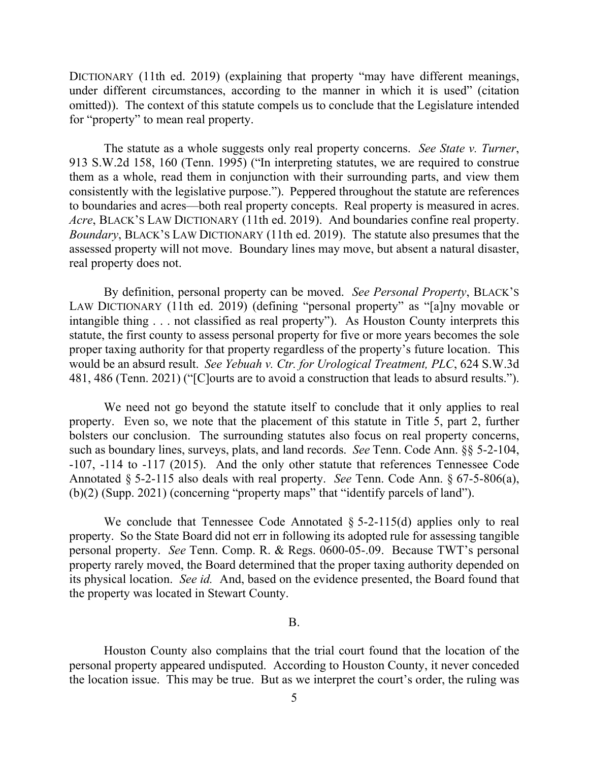DICTIONARY (11th ed. 2019) (explaining that property "may have different meanings, under different circumstances, according to the manner in which it is used" (citation omitted)). The context of this statute compels us to conclude that the Legislature intended for "property" to mean real property.

The statute as a whole suggests only real property concerns. *See State v. Turner*, 913 S.W.2d 158, 160 (Tenn. 1995) ("In interpreting statutes, we are required to construe them as a whole, read them in conjunction with their surrounding parts, and view them consistently with the legislative purpose."). Peppered throughout the statute are references to boundaries and acres—both real property concepts. Real property is measured in acres. *Acre*, BLACK'S LAW DICTIONARY (11th ed. 2019). And boundaries confine real property. *Boundary*, BLACK'S LAW DICTIONARY (11th ed. 2019). The statute also presumes that the assessed property will not move. Boundary lines may move, but absent a natural disaster, real property does not.

By definition, personal property can be moved. *See Personal Property*, BLACK'S LAW DICTIONARY (11th ed. 2019) (defining "personal property" as "[a]ny movable or intangible thing . . . not classified as real property"). As Houston County interprets this statute, the first county to assess personal property for five or more years becomes the sole proper taxing authority for that property regardless of the property's future location. This would be an absurd result. *See Yebuah v. Ctr. for Urological Treatment, PLC*, 624 S.W.3d 481, 486 (Tenn. 2021) ("[C]ourts are to avoid a construction that leads to absurd results.").

We need not go beyond the statute itself to conclude that it only applies to real property. Even so, we note that the placement of this statute in Title 5, part 2, further bolsters our conclusion. The surrounding statutes also focus on real property concerns, such as boundary lines, surveys, plats, and land records. *See* Tenn. Code Ann. §§ 5-2-104, -107, -114 to -117 (2015). And the only other statute that references Tennessee Code Annotated § 5-2-115 also deals with real property. *See* Tenn. Code Ann. § 67-5-806(a), (b)(2) (Supp. 2021) (concerning "property maps" that "identify parcels of land").

We conclude that Tennessee Code Annotated  $\S$  5-2-115(d) applies only to real property. So the State Board did not err in following its adopted rule for assessing tangible personal property. *See* Tenn. Comp. R. & Regs. 0600-05-.09. Because TWT's personal property rarely moved, the Board determined that the proper taxing authority depended on its physical location. *See id.* And, based on the evidence presented, the Board found that the property was located in Stewart County.

B.

Houston County also complains that the trial court found that the location of the personal property appeared undisputed. According to Houston County, it never conceded the location issue. This may be true. But as we interpret the court's order, the ruling was